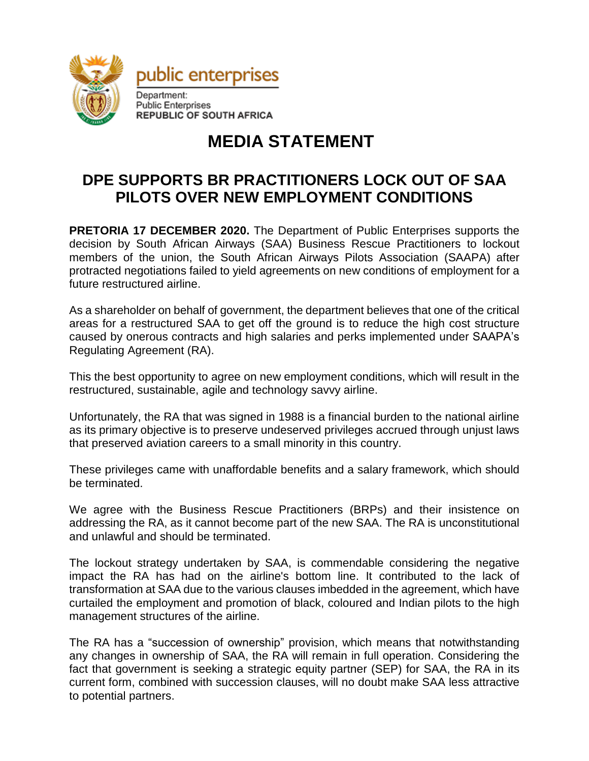

## **MEDIA STATEMENT**

## **DPE SUPPORTS BR PRACTITIONERS LOCK OUT OF SAA PILOTS OVER NEW EMPLOYMENT CONDITIONS**

**PRETORIA 17 DECEMBER 2020.** The Department of Public Enterprises supports the decision by South African Airways (SAA) Business Rescue Practitioners to lockout members of the union, the South African Airways Pilots Association (SAAPA) after protracted negotiations failed to yield agreements on new conditions of employment for a future restructured airline.

As a shareholder on behalf of government, the department believes that one of the critical areas for a restructured SAA to get off the ground is to reduce the high cost structure caused by onerous contracts and high salaries and perks implemented under SAAPA's Regulating Agreement (RA).

This the best opportunity to agree on new employment conditions, which will result in the restructured, sustainable, agile and technology savvy airline.

Unfortunately, the RA that was signed in 1988 is a financial burden to the national airline as its primary objective is to preserve undeserved privileges accrued through unjust laws that preserved aviation careers to a small minority in this country.

These privileges came with unaffordable benefits and a salary framework, which should be terminated.

We agree with the Business Rescue Practitioners (BRPs) and their insistence on addressing the RA, as it cannot become part of the new SAA. The RA is unconstitutional and unlawful and should be terminated.

The lockout strategy undertaken by SAA, is commendable considering the negative impact the RA has had on the airline's bottom line. It contributed to the lack of transformation at SAA due to the various clauses imbedded in the agreement, which have curtailed the employment and promotion of black, coloured and Indian pilots to the high management structures of the airline.

The RA has a "succession of ownership" provision, which means that notwithstanding any changes in ownership of SAA, the RA will remain in full operation. Considering the fact that government is seeking a strategic equity partner (SEP) for SAA, the RA in its current form, combined with succession clauses, will no doubt make SAA less attractive to potential partners.